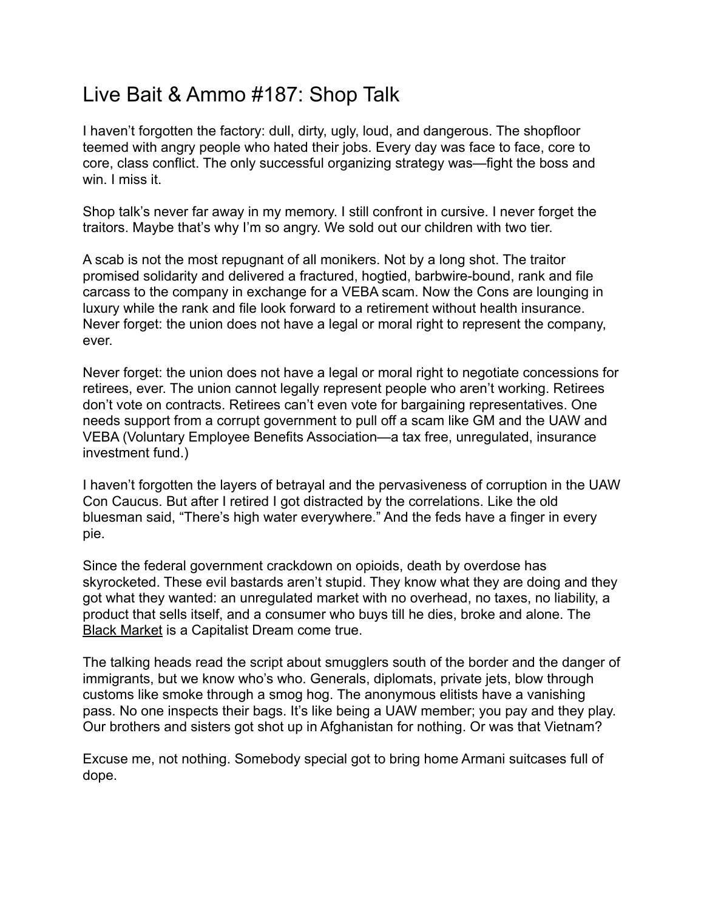## Live Bait & Ammo #187: Shop Talk

I haven't forgotten the factory: dull, dirty, ugly, loud, and dangerous. The shopfloor teemed with angry people who hated their jobs. Every day was face to face, core to core, class conflict. The only successful organizing strategy was—fight the boss and win. I miss it.

Shop talk's never far away in my memory. I still confront in cursive. I never forget the traitors. Maybe that's why I'm so angry. We sold out our children with two tier.

A scab is not the most repugnant of all monikers. Not by a long shot. The traitor promised solidarity and delivered a fractured, hogtied, barbwire-bound, rank and file carcass to the company in exchange for a VEBA scam. Now the Cons are lounging in luxury while the rank and file look forward to a retirement without health insurance. Never forget: the union does not have a legal or moral right to represent the company, ever.

Never forget: the union does not have a legal or moral right to negotiate concessions for retirees, ever. The union cannot legally represent people who aren't working. Retirees don't vote on contracts. Retirees can't even vote for bargaining representatives. One needs support from a corrupt government to pull off a scam like GM and the UAW and VEBA (Voluntary Employee Benefits Association—a tax free, unregulated, insurance investment fund.)

I haven't forgotten the layers of betrayal and the pervasiveness of corruption in the UAW Con Caucus. But after I retired I got distracted by the correlations. Like the old bluesman said, "There's high water everywhere." And the feds have a finger in every pie.

Since the federal government crackdown on opioids, death by overdose has skyrocketed. These evil bastards aren't stupid. They know what they are doing and they got what they wanted: an unregulated market with no overhead, no taxes, no liability, a product that sells itself, and a consumer who buys till he dies, broke and alone. The [Black Market](https://www.thenation.com/article/archive/alfred-mccoy-washington-drug-war-ruining-world/) is a Capitalist Dream come true.

The talking heads read the script about smugglers south of the border and the danger of immigrants, but we know who's who. Generals, diplomats, private jets, blow through customs like smoke through a smog hog. The anonymous elitists have a vanishing pass. No one inspects their bags. It's like being a UAW member; you pay and they play. Our brothers and sisters got shot up in Afghanistan for nothing. Or was that Vietnam?

Excuse me, not nothing. Somebody special got to bring home Armani suitcases full of dope.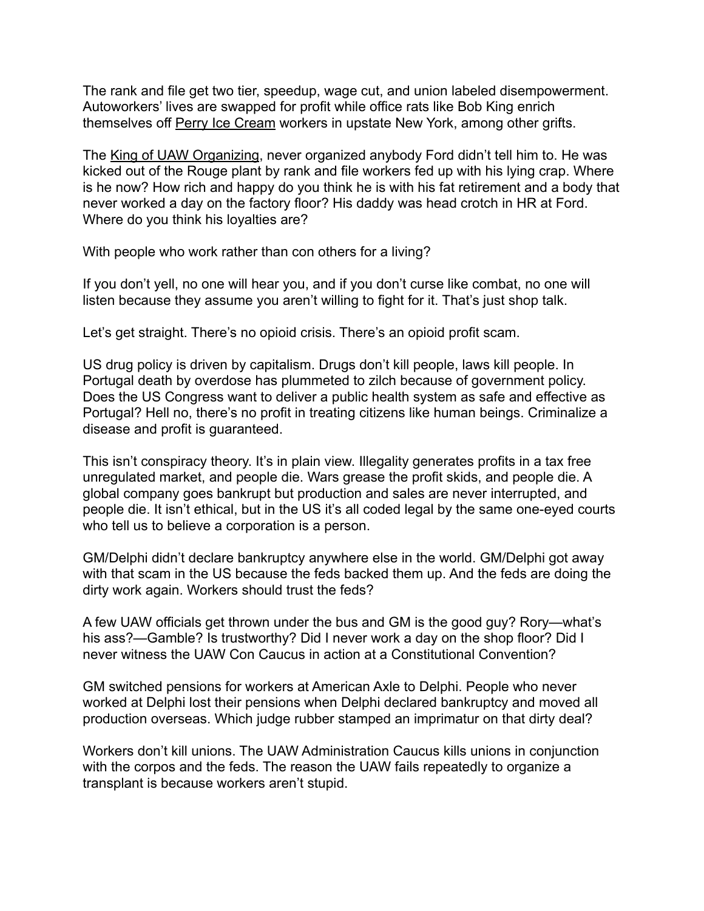The rank and file get two tier, speedup, wage cut, and union labeled disempowerment. Autoworkers' lives are swapped for profit while office rats like Bob King enrich themselves off [Perry Ice Cream](https://mronline.org/2019/08/19/a-tale-of-corruption-by-the-united-auto-workers-and-the-big-three-american-automakers/) workers in upstate New York, among other grifts.

The [King of UAW Organizing,](https://e422812a-70b1-4c3b-9177-fb50136a76a4.filesusr.com/ugd/4de7c5_3cb2f57b83b74255b493a8addaed9b76.pdf) never organized anybody Ford didn't tell him to. He was kicked out of the Rouge plant by rank and file workers fed up with his lying crap. Where is he now? How rich and happy do you think he is with his fat retirement and a body that never worked a day on the factory floor? His daddy was head crotch in HR at Ford. Where do you think his loyalties are?

With people who work rather than con others for a living?

If you don't yell, no one will hear you, and if you don't curse like combat, no one will listen because they assume you aren't willing to fight for it. That's just shop talk.

Let's get straight. There's no opioid crisis. There's an opioid profit scam.

US drug policy is driven by capitalism. Drugs don't kill people, laws kill people. In Portugal death by overdose has plummeted to zilch because of government policy. Does the US Congress want to deliver a public health system as safe and effective as Portugal? Hell no, there's no profit in treating citizens like human beings. Criminalize a disease and profit is guaranteed.

This isn't conspiracy theory. It's in plain view. Illegality generates profits in a tax free unregulated market, and people die. Wars grease the profit skids, and people die. A global company goes bankrupt but production and sales are never interrupted, and people die. It isn't ethical, but in the US it's all coded legal by the same one-eyed courts who tell us to believe a corporation is a person.

GM/Delphi didn't declare bankruptcy anywhere else in the world. GM/Delphi got away with that scam in the US because the feds backed them up. And the feds are doing the dirty work again. Workers should trust the feds?

A few UAW officials get thrown under the bus and GM is the good guy? Rory—what's his ass?—Gamble? Is trustworthy? Did I never work a day on the shop floor? Did I never witness the UAW Con Caucus in action at a Constitutional Convention?

GM switched pensions for workers at American Axle to Delphi. People who never worked at Delphi lost their pensions when Delphi declared bankruptcy and moved all production overseas. Which judge rubber stamped an imprimatur on that dirty deal?

Workers don't kill unions. The UAW Administration Caucus kills unions in conjunction with the corpos and the feds. The reason the UAW fails repeatedly to organize a transplant is because workers aren't stupid.